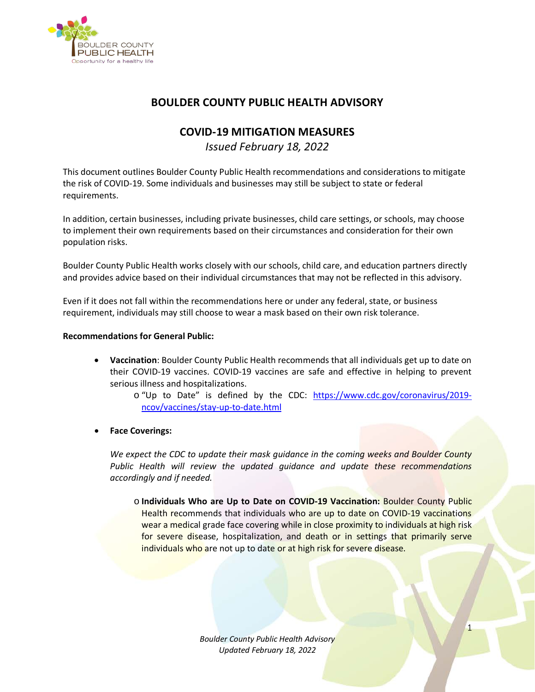

# **BOULDER COUNTY PUBLIC HEALTH ADVISORY**

## **COVID-19 MITIGATION MEASURES**

*Issued February 18, 2022*

This document outlines Boulder County Public Health recommendations and considerations to mitigate the risk of COVID-19. Some individuals and businesses may still be subject to state or federal requirements.

In addition, certain businesses, including private businesses, child care settings, or schools, may choose to implement their own requirements based on their circumstances and consideration for their own population risks.

Boulder County Public Health works closely with our schools, child care, and education partners directly and provides advice based on their individual circumstances that may not be reflected in this advisory.

Even if it does not fall within the recommendations here or under any federal, state, or business requirement, individuals may still choose to wear a mask based on their own risk tolerance.

### **Recommendations for General Public:**

• **Vaccination**: Boulder County Public Health recommends that all individuals get up to date on their COVID-19 vaccines. COVID-19 vaccines are safe and effective in helping to prevent serious illness and hospitalizations.

> o "Up to Date" is defined by the CDC: [https://www.cdc.gov/coronavirus/2019](https://www.cdc.gov/coronavirus/2019-ncov/vaccines/stay-up-to-date.html) [ncov/vaccines/stay-up-to-date.html](https://www.cdc.gov/coronavirus/2019-ncov/vaccines/stay-up-to-date.html)

• **Face Coverings:**

*We expect the CDC to update their mask guidance in the coming weeks and Boulder County Public Health will review the updated guidance and update these recommendations accordingly and if needed.* 

o **Individuals Who are Up to Date on COVID-19 Vaccination:** Boulder County Public Health recommends that individuals who are up to date on COVID-19 vaccinations wear a medical grade face covering while in close proximity to individuals at high risk for severe disease, hospitalization, and death or in settings that primarily serve individuals who are not up to date or at high risk for severe disease.

> *Boulder County Public Health Advisory Updated February 18, 2022*